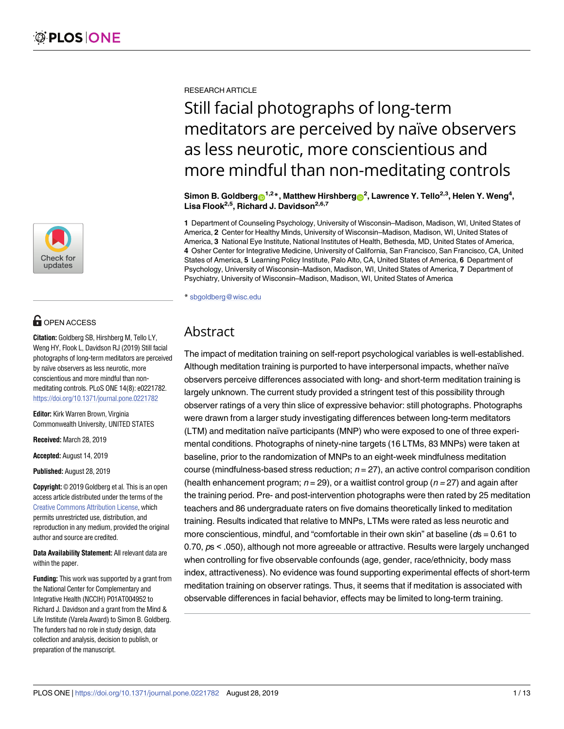

# **OPEN ACCESS**

**Citation:** Goldberg SB, Hirshberg M, Tello LY, Weng HY, Flook L, Davidson RJ (2019) Still facial photographs of long-term meditators are perceived by naïve observers as less neurotic, more conscientious and more mindful than nonmeditating controls. PLoS ONE 14(8): e0221782. <https://doi.org/10.1371/journal.pone.0221782>

**Editor:** Kirk Warren Brown, Virginia Commonwealth University, UNITED STATES

**Received:** March 28, 2019

**Accepted:** August 14, 2019

**Published:** August 28, 2019

**Copyright:** © 2019 Goldberg et al. This is an open access article distributed under the terms of the Creative Commons [Attribution](http://creativecommons.org/licenses/by/4.0/) License, which permits unrestricted use, distribution, and reproduction in any medium, provided the original author and source are credited.

**Data Availability Statement:** All relevant data are within the paper.

**Funding:** This work was supported by a grant from the National Center for Complementary and Integrative Health (NCCIH) P01AT004952 to Richard J. Davidson and a grant from the Mind & Life Institute (Varela Award) to Simon B. Goldberg. The funders had no role in study design, data collection and analysis, decision to publish, or preparation of the manuscript.

RESEARCH ARTICLE

# Still facial photographs of long-term meditators are perceived by naïve observers as less neurotic, more conscientious and more mindful than non-meditating controls

 $\boldsymbol{\delta}$ Simon B. Goldberg $\boldsymbol{\Theta}^{1,2}$ \*, Matthew Hirshberg $\boldsymbol{\Theta}^{2}$ , Lawrence Y. Tello<sup>2,3</sup>, Helen Y. Weng $^{4}$ , **Lisa Flook2,5, Richard J. Davidson2,6,7**

**1** Department of Counseling Psychology, University of Wisconsin–Madison, Madison, WI, United States of America, **2** Center for Healthy Minds, University of Wisconsin–Madison, Madison, WI, United States of America, **3** National Eye Institute, National Institutes of Health, Bethesda, MD, United States of America, **4** Osher Center for Integrative Medicine, University of California, San Francisco, San Francisco, CA, United States of America, **5** Learning Policy Institute, Palo Alto, CA, United States of America, **6** Department of Psychology, University of Wisconsin–Madison, Madison, WI, United States of America, **7** Department of Psychiatry, University of Wisconsin–Madison, Madison, WI, United States of America

\* sbgoldberg@wisc.edu

# Abstract

The impact of meditation training on self-report psychological variables is well-established. Although meditation training is purported to have interpersonal impacts, whether naïve observers perceive differences associated with long- and short-term meditation training is largely unknown. The current study provided a stringent test of this possibility through observer ratings of a very thin slice of expressive behavior: still photographs. Photographs were drawn from a larger study investigating differences between long-term meditators (LTM) and meditation naïve participants (MNP) who were exposed to one of three experimental conditions. Photographs of ninety-nine targets (16 LTMs, 83 MNPs) were taken at baseline, prior to the randomization of MNPs to an eight-week mindfulness meditation course (mindfulness-based stress reduction;  $n = 27$ ), an active control comparison condition (health enhancement program;  $n = 29$ ), or a waitlist control group ( $n = 27$ ) and again after the training period. Pre- and post-intervention photographs were then rated by 25 meditation teachers and 86 undergraduate raters on five domains theoretically linked to meditation training. Results indicated that relative to MNPs, LTMs were rated as less neurotic and more conscientious, mindful, and "comfortable in their own skin" at baseline ( $ds = 0.61$  to 0.70, ps < .050), although not more agreeable or attractive. Results were largely unchanged when controlling for five observable confounds (age, gender, race/ethnicity, body mass index, attractiveness). No evidence was found supporting experimental effects of short-term meditation training on observer ratings. Thus, it seems that if meditation is associated with observable differences in facial behavior, effects may be limited to long-term training.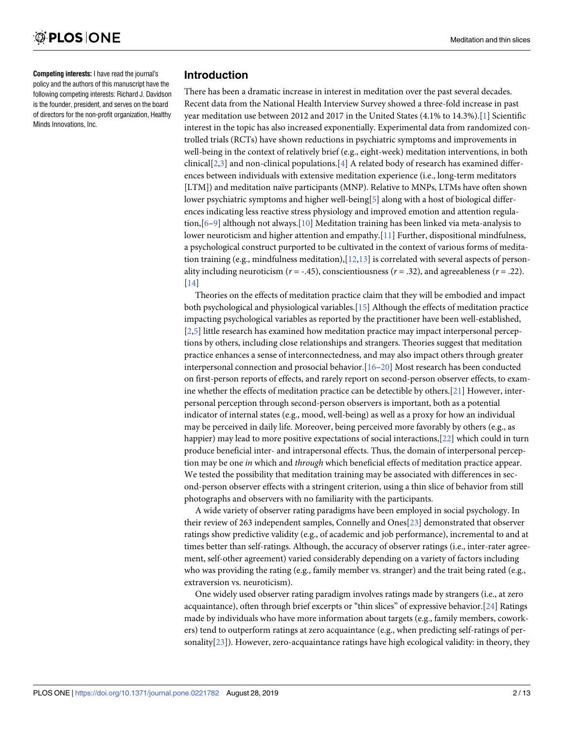<span id="page-1-0"></span>**Competing interests:** I have read the journal's policy and the authors of this manuscript have the following competing interests: Richard J. Davidson is the founder, president, and serves on the board of directors for the non-profit organization, Healthy Minds Innovations, Inc.

# **Introduction**

There has been a dramatic increase in interest in meditation over the past several decades. Recent data from the National Health Interview Survey showed a three-fold increase in past year meditation use between 2012 and 2017 in the United States (4.1% to 14.3%).[\[1\]](#page-10-0) Scientific interest in the topic has also increased exponentially. Experimental data from randomized controlled trials (RCTs) have shown reductions in psychiatric symptoms and improvements in well-being in the context of relatively brief (e.g., eight-week) meditation interventions, in both clinical[[2,3\]](#page-10-0) and non-clinical populations.[[4\]](#page-10-0) A related body of research has examined differences between individuals with extensive meditation experience (i.e., long-term meditators [LTM]) and meditation naïve participants (MNP). Relative to MNPs, LTMs have often shown lower psychiatric symptoms and higher well-being[\[5\]](#page-10-0) along with a host of biological differences indicating less reactive stress physiology and improved emotion and attention regulation,[[6–9\]](#page-10-0) although not always.[\[10\]](#page-11-0) Meditation training has been linked via meta-analysis to lower neuroticism and higher attention and empathy.[\[11\]](#page-11-0) Further, dispositional mindfulness, a psychological construct purported to be cultivated in the context of various forms of meditation training (e.g., mindfulness meditation), $[12,13]$  $[12,13]$  $[12,13]$  $[12,13]$  $[12,13]$  is correlated with several aspects of personality including neuroticism ( $r = -0.45$ ), conscientiousness ( $r = 0.32$ ), and agreeableness ( $r = 0.22$ ). [\[14\]](#page-11-0)

Theories on the effects of meditation practice claim that they will be embodied and impact both psychological and physiological variables.[[15](#page-11-0)] Although the effects of meditation practice impacting psychological variables as reported by the practitioner have been well-established, [\[2,5](#page-10-0)] little research has examined how meditation practice may impact interpersonal perceptions by others, including close relationships and strangers. Theories suggest that meditation practice enhances a sense of interconnectedness, and may also impact others through greater interpersonal connection and prosocial behavior.[[16](#page-11-0)–[20](#page-11-0)] Most research has been conducted on first-person reports of effects, and rarely report on second-person observer effects, to examine whether the effects of meditation practice can be detectible by others.[\[21\]](#page-11-0) However, interpersonal perception through second-person observers is important, both as a potential indicator of internal states (e.g., mood, well-being) as well as a proxy for how an individual may be perceived in daily life. Moreover, being perceived more favorably by others (e.g., as happier) may lead to more positive expectations of social interactions,[[22\]](#page-11-0) which could in turn produce beneficial inter- and intrapersonal effects. Thus, the domain of interpersonal perception may be one *in* which and *through* which beneficial effects of meditation practice appear. We tested the possibility that meditation training may be associated with differences in second-person observer effects with a stringent criterion, using a thin slice of behavior from still photographs and observers with no familiarity with the participants.

A wide variety of observer rating paradigms have been employed in social psychology. In their review of 263 independent samples, Connelly and Ones[\[23\]](#page-11-0) demonstrated that observer ratings show predictive validity (e.g., of academic and job performance), incremental to and at times better than self-ratings. Although, the accuracy of observer ratings (i.e., inter-rater agreement, self-other agreement) varied considerably depending on a variety of factors including who was providing the rating (e.g., family member vs. stranger) and the trait being rated (e.g., extraversion vs. neuroticism).

One widely used observer rating paradigm involves ratings made by strangers (i.e., at zero acquaintance), often through brief excerpts or "thin slices" of expressive behavior.[[24](#page-11-0)] Ratings made by individuals who have more information about targets (e.g., family members, coworkers) tend to outperform ratings at zero acquaintance (e.g., when predicting self-ratings of personality[[23](#page-11-0)]). However, zero-acquaintance ratings have high ecological validity: in theory, they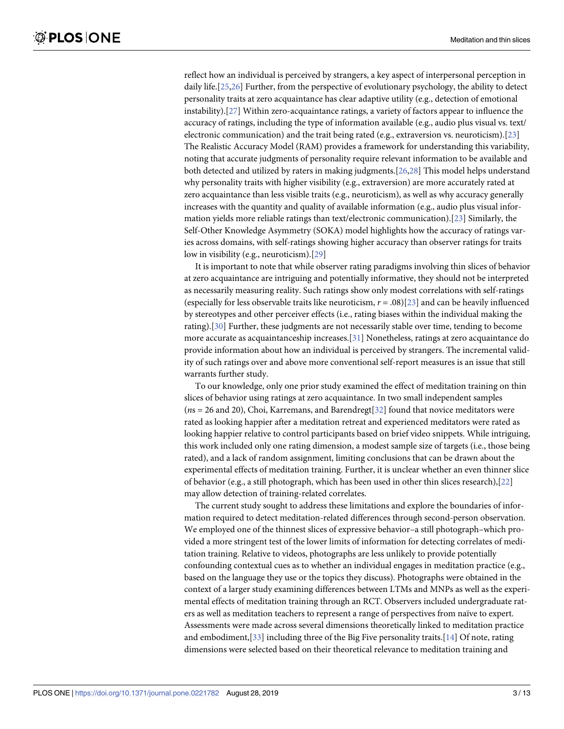<span id="page-2-0"></span>reflect how an individual is perceived by strangers, a key aspect of interpersonal perception in daily life.[\[25,26\]](#page-11-0) Further, from the perspective of evolutionary psychology, the ability to detect personality traits at zero acquaintance has clear adaptive utility (e.g., detection of emotional instability).[[27\]](#page-11-0) Within zero-acquaintance ratings, a variety of factors appear to influence the accuracy of ratings, including the type of information available (e.g., audio plus visual vs. text/ electronic communication) and the trait being rated (e.g., extraversion vs. neuroticism).[[23\]](#page-11-0) The Realistic Accuracy Model (RAM) provides a framework for understanding this variability, noting that accurate judgments of personality require relevant information to be available and both detected and utilized by raters in making judgments.[[26](#page-11-0),[28](#page-11-0)] This model helps understand why personality traits with higher visibility (e.g., extraversion) are more accurately rated at zero acquaintance than less visible traits (e.g., neuroticism), as well as why accuracy generally increases with the quantity and quality of available information (e.g., audio plus visual information yields more reliable ratings than text/electronic communication).[\[23\]](#page-11-0) Similarly, the Self-Other Knowledge Asymmetry (SOKA) model highlights how the accuracy of ratings varies across domains, with self-ratings showing higher accuracy than observer ratings for traits low in visibility (e.g., neuroticism).[\[29\]](#page-11-0)

It is important to note that while observer rating paradigms involving thin slices of behavior at zero acquaintance are intriguing and potentially informative, they should not be interpreted as necessarily measuring reality. Such ratings show only modest correlations with self-ratings (especially for less observable traits like neuroticism, *r* = .08)[\[23\]](#page-11-0) and can be heavily influenced by stereotypes and other perceiver effects (i.e., rating biases within the individual making the rating).[[30](#page-11-0)] Further, these judgments are not necessarily stable over time, tending to become more accurate as acquaintanceship increases.[[31\]](#page-11-0) Nonetheless, ratings at zero acquaintance do provide information about how an individual is perceived by strangers. The incremental validity of such ratings over and above more conventional self-report measures is an issue that still warrants further study.

To our knowledge, only one prior study examined the effect of meditation training on thin slices of behavior using ratings at zero acquaintance. In two small independent samples (*n*s = 26 and 20), Choi, Karremans, and Barendregt[[32](#page-12-0)] found that novice meditators were rated as looking happier after a meditation retreat and experienced meditators were rated as looking happier relative to control participants based on brief video snippets. While intriguing, this work included only one rating dimension, a modest sample size of targets (i.e., those being rated), and a lack of random assignment, limiting conclusions that can be drawn about the experimental effects of meditation training. Further, it is unclear whether an even thinner slice of behavior (e.g., a still photograph, which has been used in other thin slices research),[\[22\]](#page-11-0) may allow detection of training-related correlates.

The current study sought to address these limitations and explore the boundaries of information required to detect meditation-related differences through second-person observation. We employed one of the thinnest slices of expressive behavior–a still photograph–which provided a more stringent test of the lower limits of information for detecting correlates of meditation training. Relative to videos, photographs are less unlikely to provide potentially confounding contextual cues as to whether an individual engages in meditation practice (e.g., based on the language they use or the topics they discuss). Photographs were obtained in the context of a larger study examining differences between LTMs and MNPs as well as the experimental effects of meditation training through an RCT. Observers included undergraduate raters as well as meditation teachers to represent a range of perspectives from naïve to expert. Assessments were made across several dimensions theoretically linked to meditation practice and embodiment,[\[33\]](#page-12-0) including three of the Big Five personality traits.[\[14\]](#page-11-0) Of note, rating dimensions were selected based on their theoretical relevance to meditation training and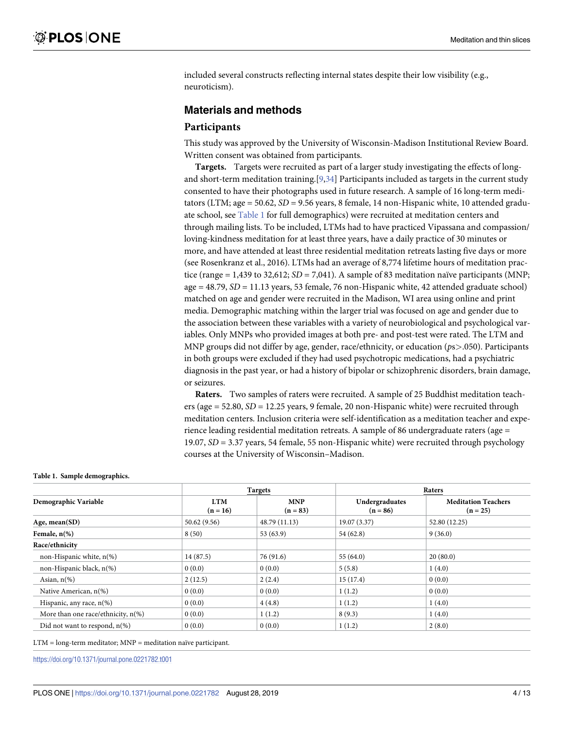<span id="page-3-0"></span>included several constructs reflecting internal states despite their low visibility (e.g., neuroticism).

# **Materials and methods**

# **Participants**

This study was approved by the University of Wisconsin-Madison Institutional Review Board. Written consent was obtained from participants.

**Targets.** Targets were recruited as part of a larger study investigating the effects of longand short-term meditation training.[[9](#page-10-0),[34\]](#page-12-0) Participants included as targets in the current study consented to have their photographs used in future research. A sample of 16 long-term meditators (LTM; age = 50.62, *SD* = 9.56 years, 8 female, 14 non-Hispanic white, 10 attended graduate school, see Table 1 for full demographics) were recruited at meditation centers and through mailing lists. To be included, LTMs had to have practiced Vipassana and compassion/ loving-kindness meditation for at least three years, have a daily practice of 30 minutes or more, and have attended at least three residential meditation retreats lasting five days or more (see Rosenkranz et al., 2016). LTMs had an average of 8,774 lifetime hours of meditation practice (range = 1,439 to 32,612; *SD* = 7,041). A sample of 83 meditation naïve participants (MNP; age = 48.79, *SD* = 11.13 years, 53 female, 76 non-Hispanic white, 42 attended graduate school) matched on age and gender were recruited in the Madison, WI area using online and print media. Demographic matching within the larger trial was focused on age and gender due to the association between these variables with a variety of neurobiological and psychological variables. Only MNPs who provided images at both pre- and post-test were rated. The LTM and MNP groups did not differ by age, gender, race/ethnicity, or education (*p*s*>*.050). Participants in both groups were excluded if they had used psychotropic medications, had a psychiatric diagnosis in the past year, or had a history of bipolar or schizophrenic disorders, brain damage, or seizures.

**Raters.** Two samples of raters were recruited. A sample of 25 Buddhist meditation teachers (age = 52.80, *SD* = 12.25 years, 9 female, 20 non-Hispanic white) were recruited through meditation centers. Inclusion criteria were self-identification as a meditation teacher and experience leading residential meditation retreats. A sample of 86 undergraduate raters (age = 19.07, *SD* = 3.37 years, 54 female, 55 non-Hispanic white) were recruited through psychology courses at the University of Wisconsin–Madison.

|                                                  |                          | <b>Targets</b>           |                              | Raters                                   |  |  |  |
|--------------------------------------------------|--------------------------|--------------------------|------------------------------|------------------------------------------|--|--|--|
| Demographic Variable                             | <b>LTM</b><br>$(n = 16)$ | <b>MNP</b><br>$(n = 83)$ | Undergraduates<br>$(n = 86)$ | <b>Meditation Teachers</b><br>$(n = 25)$ |  |  |  |
| Age, mean $(SD)$                                 | 50.62(9.56)              | 48.79 (11.13)            | 19.07(3.37)                  | 52.80 (12.25)                            |  |  |  |
| Female, $n(\%)$                                  | 8(50)                    | 53 (63.9)                | 54(62.8)                     | 9(36.0)                                  |  |  |  |
| Race/ethnicity                                   |                          |                          |                              |                                          |  |  |  |
| non-Hispanic white, n(%)                         | 14 (87.5)                | 76 (91.6)<br>55 $(64.0)$ |                              | 20(80.0)                                 |  |  |  |
| non-Hispanic black, n(%)                         | 0(0.0)                   | 0(0.0)                   | 5(5.8)                       | 1(4.0)                                   |  |  |  |
| Asian, $n\frac{9}{6}$                            | 2(12.5)                  | 2(2.4)                   | 15(17.4)                     | 0(0.0)                                   |  |  |  |
| Native American, n(%)                            | 0(0.0)                   | 0(0.0)                   | 1(1.2)                       | 0(0.0)                                   |  |  |  |
| Hispanic, any race, $n(\%)$                      | 0(0.0)                   | 4(4.8)                   | 1(1.2)                       | 1(4.0)                                   |  |  |  |
| More than one race/ethnicity, $n$ <sup>(%)</sup> | 0(0.0)                   | 1(1.2)                   | 8(9.3)                       | 1(4.0)                                   |  |  |  |
| Did not want to respond, $n(\%)$                 | 0(0.0)                   | 0(0.0)                   | 1(1.2)                       | 2(8.0)                                   |  |  |  |

#### **Table 1. Sample demographics.**

LTM = long-term meditator; MNP = meditation naïve participant.

<https://doi.org/10.1371/journal.pone.0221782.t001>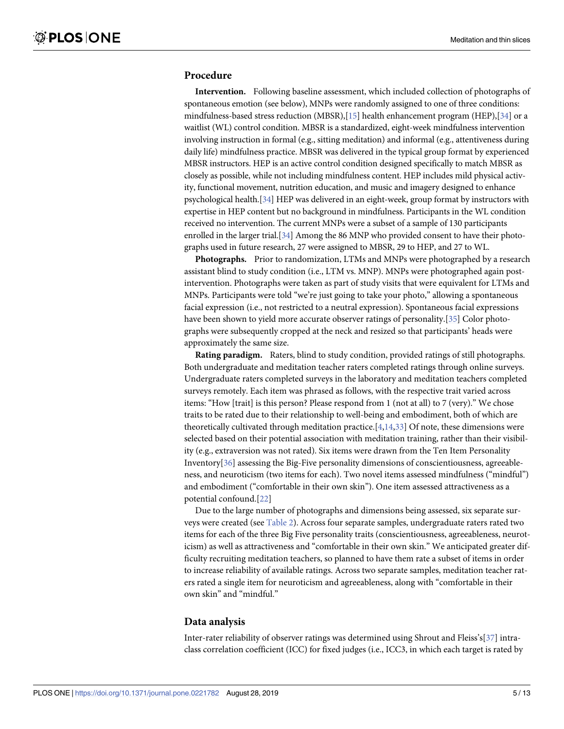# <span id="page-4-0"></span>**Procedure**

**Intervention.** Following baseline assessment, which included collection of photographs of spontaneous emotion (see below), MNPs were randomly assigned to one of three conditions: mindfulness-based stress reduction (MBSR),[\[15\]](#page-11-0) health enhancement program (HEP),[\[34](#page-12-0)] or a waitlist (WL) control condition. MBSR is a standardized, eight-week mindfulness intervention involving instruction in formal (e.g., sitting meditation) and informal (e.g., attentiveness during daily life) mindfulness practice. MBSR was delivered in the typical group format by experienced MBSR instructors. HEP is an active control condition designed specifically to match MBSR as closely as possible, while not including mindfulness content. HEP includes mild physical activity, functional movement, nutrition education, and music and imagery designed to enhance psychological health.[\[34](#page-12-0)] HEP was delivered in an eight-week, group format by instructors with expertise in HEP content but no background in mindfulness. Participants in the WL condition received no intervention. The current MNPs were a subset of a sample of 130 participants enrolled in the larger trial.[[34](#page-12-0)] Among the 86 MNP who provided consent to have their photographs used in future research, 27 were assigned to MBSR, 29 to HEP, and 27 to WL.

**Photographs.** Prior to randomization, LTMs and MNPs were photographed by a research assistant blind to study condition (i.e., LTM vs. MNP). MNPs were photographed again postintervention. Photographs were taken as part of study visits that were equivalent for LTMs and MNPs. Participants were told "we're just going to take your photo," allowing a spontaneous facial expression (i.e., not restricted to a neutral expression). Spontaneous facial expressions have been shown to yield more accurate observer ratings of personality.[[35\]](#page-12-0) Color photographs were subsequently cropped at the neck and resized so that participants' heads were approximately the same size.

**Rating paradigm.** Raters, blind to study condition, provided ratings of still photographs. Both undergraduate and meditation teacher raters completed ratings through online surveys. Undergraduate raters completed surveys in the laboratory and meditation teachers completed surveys remotely. Each item was phrased as follows, with the respective trait varied across items: "How [trait] is this person? Please respond from 1 (not at all) to 7 (very)." We chose traits to be rated due to their relationship to well-being and embodiment, both of which are theoretically cultivated through meditation practice.[\[4](#page-10-0)[,14](#page-11-0)[,33\]](#page-12-0) Of note, these dimensions were selected based on their potential association with meditation training, rather than their visibility (e.g., extraversion was not rated). Six items were drawn from the Ten Item Personality Inventory[[36](#page-12-0)] assessing the Big-Five personality dimensions of conscientiousness, agreeableness, and neuroticism (two items for each). Two novel items assessed mindfulness ("mindful") and embodiment ("comfortable in their own skin"). One item assessed attractiveness as a potential confound.[[22\]](#page-11-0)

Due to the large number of photographs and dimensions being assessed, six separate surveys were created (see [Table](#page-5-0) 2). Across four separate samples, undergraduate raters rated two items for each of the three Big Five personality traits (conscientiousness, agreeableness, neuroticism) as well as attractiveness and "comfortable in their own skin." We anticipated greater difficulty recruiting meditation teachers, so planned to have them rate a subset of items in order to increase reliability of available ratings. Across two separate samples, meditation teacher raters rated a single item for neuroticism and agreeableness, along with "comfortable in their own skin" and "mindful."

#### **Data analysis**

Inter-rater reliability of observer ratings was determined using Shrout and Fleiss's[[37](#page-12-0)] intraclass correlation coefficient (ICC) for fixed judges (i.e., ICC3, in which each target is rated by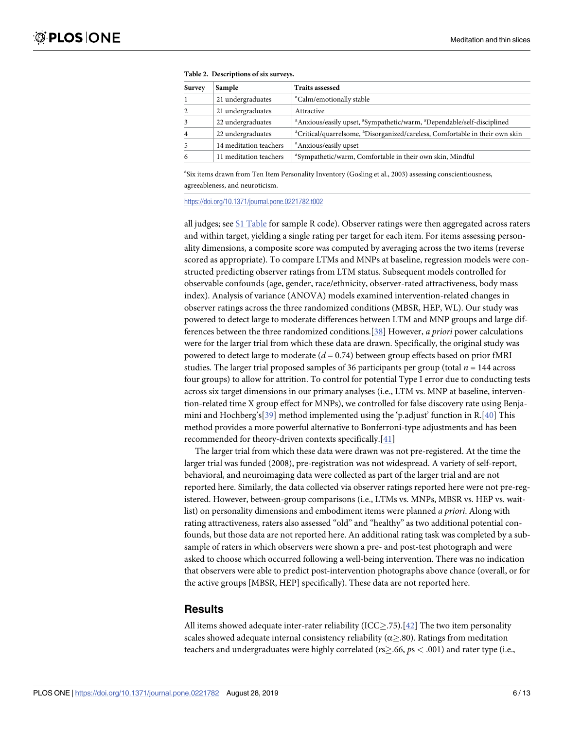<span id="page-5-0"></span>

| <b>Survey</b>  | Sample                 | <b>Traits assessed</b>                                                                                     |
|----------------|------------------------|------------------------------------------------------------------------------------------------------------|
|                | 21 undergraduates      | <sup>a</sup> Calm/emotionally stable                                                                       |
| 2              | 21 undergraduates      | Attractive                                                                                                 |
| 3              | 22 undergraduates      | <sup>a</sup> Anxious/easily upset, <sup>a</sup> Sympathetic/warm, <sup>a</sup> Dependable/self-disciplined |
| $\overline{4}$ | 22 undergraduates      | <sup>a</sup> Critical/quarrelsome, <sup>a</sup> Disorganized/careless, Comfortable in their own skin       |
| 5              | 14 meditation teachers | <sup>a</sup> Anxious/easily upset                                                                          |
| 6              | 11 meditation teachers | <sup>a</sup> Sympathetic/warm, Comfortable in their own skin, Mindful                                      |

| Table 2. Descriptions of six surveys. |  |
|---------------------------------------|--|
|---------------------------------------|--|

<sup>a</sup>Six items drawn from Ten Item Personality Inventory (Gosling et al., 2003) assessing conscientiousness, agreeableness, and neuroticism.

<https://doi.org/10.1371/journal.pone.0221782.t002>

all judges; see S1 [Table](#page-9-0) for sample R code). Observer ratings were then aggregated across raters and within target, yielding a single rating per target for each item. For items assessing personality dimensions, a composite score was computed by averaging across the two items (reverse scored as appropriate). To compare LTMs and MNPs at baseline, regression models were constructed predicting observer ratings from LTM status. Subsequent models controlled for observable confounds (age, gender, race/ethnicity, observer-rated attractiveness, body mass index). Analysis of variance (ANOVA) models examined intervention-related changes in observer ratings across the three randomized conditions (MBSR, HEP, WL). Our study was powered to detect large to moderate differences between LTM and MNP groups and large differences between the three randomized conditions.[\[38\]](#page-12-0) However, *a priori* power calculations were for the larger trial from which these data are drawn. Specifically, the original study was powered to detect large to moderate (*d* = 0.74) between group effects based on prior fMRI studies. The larger trial proposed samples of 36 participants per group (total  $n = 144$  across four groups) to allow for attrition. To control for potential Type I error due to conducting tests across six target dimensions in our primary analyses (i.e., LTM vs. MNP at baseline, intervention-related time X group effect for MNPs), we controlled for false discovery rate using Benjamini and Hochberg's[[39\]](#page-12-0) method implemented using the 'p.adjust' function in R.[[40](#page-12-0)] This method provides a more powerful alternative to Bonferroni-type adjustments and has been recommended for theory-driven contexts specifically.[\[41\]](#page-12-0)

The larger trial from which these data were drawn was not pre-registered. At the time the larger trial was funded (2008), pre-registration was not widespread. A variety of self-report, behavioral, and neuroimaging data were collected as part of the larger trial and are not reported here. Similarly, the data collected via observer ratings reported here were not pre-registered. However, between-group comparisons (i.e., LTMs vs. MNPs, MBSR vs. HEP vs. waitlist) on personality dimensions and embodiment items were planned *a priori*. Along with rating attractiveness, raters also assessed "old" and "healthy" as two additional potential confounds, but those data are not reported here. An additional rating task was completed by a subsample of raters in which observers were shown a pre- and post-test photograph and were asked to choose which occurred following a well-being intervention. There was no indication that observers were able to predict post-intervention photographs above chance (overall, or for the active groups [MBSR, HEP] specifically). These data are not reported here.

#### **Results**

All items showed adequate inter-rater reliability (ICC $\geq$ .75).[[42](#page-12-0)] The two item personality scales showed adequate internal consistency reliability ( $\alpha \geq 80$ ). Ratings from meditation teachers and undergraduates were highly correlated (*r*s�.66, *p*s *<* .001) and rater type (i.e.,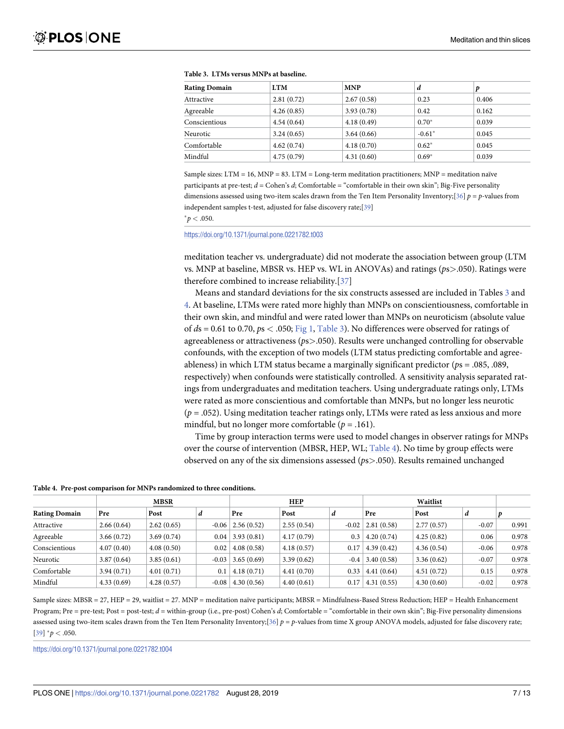| <b>Rating Domain</b> | <b>LTM</b> | <b>MNP</b> | d        |       |
|----------------------|------------|------------|----------|-------|
| Attractive           | 2.81(0.72) | 2.67(0.58) | 0.23     | 0.406 |
| Agreeable            | 4.26(0.85) | 3.93(0.78) | 0.42     | 0.162 |
| Conscientious        | 4.54(0.64) | 4.18(0.49) | $0.70*$  | 0.039 |
| Neurotic             | 3.24(0.65) | 3.64(0.66) | $-0.61*$ | 0.045 |
| Comfortable          | 4.62(0.74) | 4.18(0.70) | $0.62*$  | 0.045 |
| Mindful              | 4.75(0.79) | 4.31(0.60) | $0.69*$  | 0.039 |

<span id="page-6-0"></span>

|  |  |  |  |  | <b>Table 3. LTMs versus MNPs at baseline.</b> |
|--|--|--|--|--|-----------------------------------------------|
|--|--|--|--|--|-----------------------------------------------|

Sample sizes: LTM = 16, MNP = 83. LTM = Long-term meditation practitioners; MNP = meditation naïve participants at pre-test;  $d =$  Cohen's  $d$ ; Comfortable = "comfortable in their own skin"; Big-Five personality dimensions assessed using two-item scales drawn from the Ten Item Personality Inventory;[\[36\]](#page-12-0) *p* = *p*-values from independent samples t-test, adjusted for false discovery rate;[[39\]](#page-12-0)

 $^{*}p$   $<$  .050.

<https://doi.org/10.1371/journal.pone.0221782.t003>

meditation teacher vs. undergraduate) did not moderate the association between group (LTM vs. MNP at baseline, MBSR vs. HEP vs. WL in ANOVAs) and ratings (*p*s*>*.050). Ratings were therefore combined to increase reliability.[\[37\]](#page-12-0)

Means and standard deviations for the six constructs assessed are included in Tables 3 and 4. At baseline, LTMs were rated more highly than MNPs on conscientiousness, comfortable in their own skin, and mindful and were rated lower than MNPs on neuroticism (absolute value of *d*s = 0.61 to 0.70, *p*s *<* .050; [Fig](#page-7-0) 1, Table 3). No differences were observed for ratings of agreeableness or attractiveness (*p*s*>*.050). Results were unchanged controlling for observable confounds, with the exception of two models (LTM status predicting comfortable and agreeableness) in which LTM status became a marginally significant predictor (*p*s = .085, .089, respectively) when confounds were statistically controlled. A sensitivity analysis separated ratings from undergraduates and meditation teachers. Using undergraduate ratings only, LTMs were rated as more conscientious and comfortable than MNPs, but no longer less neurotic  $(p = .052)$ . Using meditation teacher ratings only, LTMs were rated as less anxious and more mindful, but no longer more comfortable ( $p = .161$ ).

Time by group interaction terms were used to model changes in observer ratings for MNPs over the course of intervention (MBSR, HEP, WL; Table 4). No time by group effects were observed on any of the six dimensions assessed (*p*s*>*.050). Results remained unchanged

|                      | <b>MBSR</b> |            |         | <b>HEP</b>            |            |         | Waitlist   |            |         |       |
|----------------------|-------------|------------|---------|-----------------------|------------|---------|------------|------------|---------|-------|
| <b>Rating Domain</b> | Pre         | Post       |         | Pre                   | Post       | a       | Pre        | Post       | а       |       |
| Attractive           | 2.66(0.64)  | 2.62(0.65) |         | $-0.06$   2.56 (0.52) | 2.55(0.54) | $-0.02$ | 2.81(0.58) | 2.77(0.57) | $-0.07$ | 0.991 |
| Agreeable            | 3.66(0.72)  | 3.69(0.74) | 0.04    | 3.93(0.81)            | 4.17(0.79) | 0.3     | 4.20(0.74) | 4.25(0.82) | 0.06    | 0.978 |
| Conscientious        | 4.07(0.40)  | 4.08(0.50) | 0.02    | 4.08(0.58)            | 4.18(0.57) | 0.17    | 4.39(0.42) | 4.36(0.54) | $-0.06$ | 0.978 |
| Neurotic             | 3.87(0.64)  | 3.85(0.61) | $-0.03$ | 3.65(0.69)            | 3.39(0.62) | $-0.4$  | 3.40(0.58) | 3.36(0.62) | $-0.07$ | 0.978 |
| Comfortable          | 3.94(0.71)  | 4.01(0.71) | 0.1     | 4.18(0.71)            | 4.41(0.70) | 0.33    | 4.41(0.64) | 4.51(0.72) | 0.15    | 0.978 |
| Mindful              | 4.33(0.69)  | 4.28(0.57) | $-0.08$ | 4.30(0.56)            | 4.40(0.61) | 0.17    | 4.31(0.55) | 4.30(0.60) | $-0.02$ | 0.978 |

Sample sizes: MBSR = 27, HEP = 29, waitlist = 27. MNP = meditation naïve participants; MBSR = Mindfulness-Based Stress Reduction; HEP = Health Enhancement Program; Pre = pre-test; Post = post-test; *d* = within-group (i.e., pre-post) Cohen's *d*; Comfortable = "comfortable in their own skin"; Big-Five personality dimensions assessed using two-item scales drawn from the Ten Item Personality Inventory;[\[36\]](#page-12-0)  $p = p$ -values from time X group ANOVA models, adjusted for false discovery rate;  $[39]$  $[39]$  $[39]$   $^*p$  < .050.

<https://doi.org/10.1371/journal.pone.0221782.t004>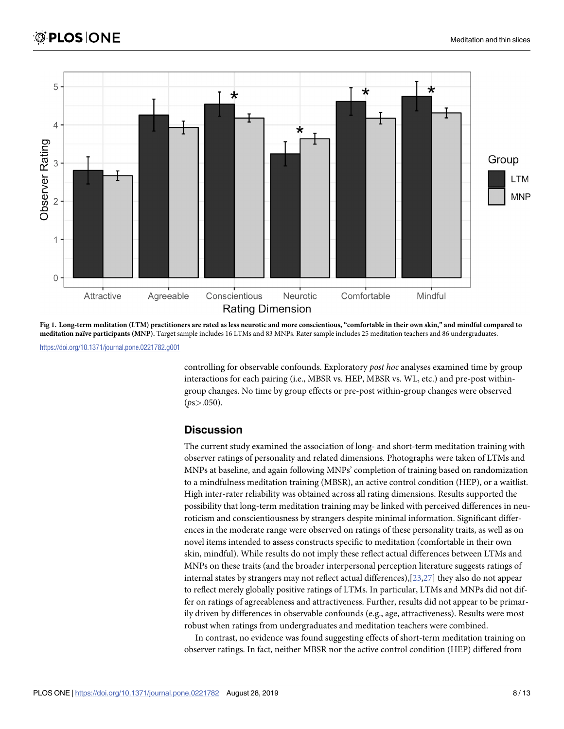<span id="page-7-0"></span>

[Fig](#page-6-0) 1. Long-term meditation (LTM) practitioners are rated as less neurotic and more conscientious, "comfortable in their own skin," and mindful compared to **meditation naïve participants (MNP).** Target sample includes 16 LTMs and 83 MNPs. Rater sample includes 25 meditation teachers and 86 undergraduates.

<https://doi.org/10.1371/journal.pone.0221782.g001>

controlling for observable confounds. Exploratory *post hoc* analyses examined time by group interactions for each pairing (i.e., MBSR vs. HEP, MBSR vs. WL, etc.) and pre-post withingroup changes. No time by group effects or pre-post within-group changes were observed (*p*s*>*.050).

# **Discussion**

The current study examined the association of long- and short-term meditation training with observer ratings of personality and related dimensions. Photographs were taken of LTMs and MNPs at baseline, and again following MNPs' completion of training based on randomization to a mindfulness meditation training (MBSR), an active control condition (HEP), or a waitlist. High inter-rater reliability was obtained across all rating dimensions. Results supported the possibility that long-term meditation training may be linked with perceived differences in neuroticism and conscientiousness by strangers despite minimal information. Significant differences in the moderate range were observed on ratings of these personality traits, as well as on novel items intended to assess constructs specific to meditation (comfortable in their own skin, mindful). While results do not imply these reflect actual differences between LTMs and MNPs on these traits (and the broader interpersonal perception literature suggests ratings of internal states by strangers may not reflect actual differences),[\[23,27](#page-11-0)] they also do not appear to reflect merely globally positive ratings of LTMs. In particular, LTMs and MNPs did not differ on ratings of agreeableness and attractiveness. Further, results did not appear to be primarily driven by differences in observable confounds (e.g., age, attractiveness). Results were most robust when ratings from undergraduates and meditation teachers were combined.

In contrast, no evidence was found suggesting effects of short-term meditation training on observer ratings. In fact, neither MBSR nor the active control condition (HEP) differed from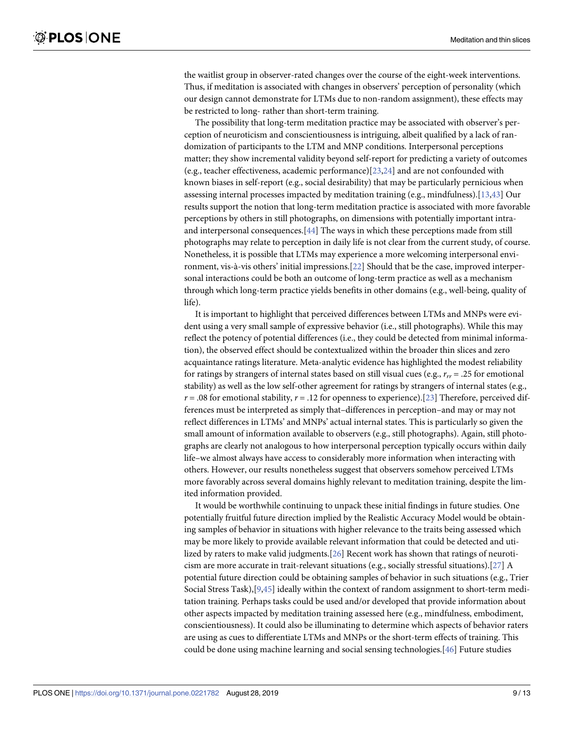<span id="page-8-0"></span>the waitlist group in observer-rated changes over the course of the eight-week interventions. Thus, if meditation is associated with changes in observers' perception of personality (which our design cannot demonstrate for LTMs due to non-random assignment), these effects may be restricted to long- rather than short-term training.

The possibility that long-term meditation practice may be associated with observer's perception of neuroticism and conscientiousness is intriguing, albeit qualified by a lack of randomization of participants to the LTM and MNP conditions. Interpersonal perceptions matter; they show incremental validity beyond self-report for predicting a variety of outcomes (e.g., teacher effectiveness, academic performance)[[23,24\]](#page-11-0) and are not confounded with known biases in self-report (e.g., social desirability) that may be particularly pernicious when assessing internal processes impacted by meditation training (e.g., mindfulness).[\[13,](#page-11-0)[43\]](#page-12-0) Our results support the notion that long-term meditation practice is associated with more favorable perceptions by others in still photographs, on dimensions with potentially important intraand interpersonal consequences.[\[44\]](#page-12-0) The ways in which these perceptions made from still photographs may relate to perception in daily life is not clear from the current study, of course. Nonetheless, it is possible that LTMs may experience a more welcoming interpersonal environment, vis-à-vis others' initial impressions.[\[22\]](#page-11-0) Should that be the case, improved interpersonal interactions could be both an outcome of long-term practice as well as a mechanism through which long-term practice yields benefits in other domains (e.g., well-being, quality of life).

It is important to highlight that perceived differences between LTMs and MNPs were evident using a very small sample of expressive behavior (i.e., still photographs). While this may reflect the potency of potential differences (i.e., they could be detected from minimal information), the observed effect should be contextualized within the broader thin slices and zero acquaintance ratings literature. Meta-analytic evidence has highlighted the modest reliability for ratings by strangers of internal states based on still visual cues (e.g.,  $r_{rr}$  = .25 for emotional stability) as well as the low self-other agreement for ratings by strangers of internal states (e.g.,  $r = .08$  for emotional stability,  $r = .12$  for openness to experience).[\[23\]](#page-11-0) Therefore, perceived differences must be interpreted as simply that–differences in perception–and may or may not reflect differences in LTMs' and MNPs' actual internal states. This is particularly so given the small amount of information available to observers (e.g., still photographs). Again, still photographs are clearly not analogous to how interpersonal perception typically occurs within daily life–we almost always have access to considerably more information when interacting with others. However, our results nonetheless suggest that observers somehow perceived LTMs more favorably across several domains highly relevant to meditation training, despite the limited information provided.

It would be worthwhile continuing to unpack these initial findings in future studies. One potentially fruitful future direction implied by the Realistic Accuracy Model would be obtaining samples of behavior in situations with higher relevance to the traits being assessed which may be more likely to provide available relevant information that could be detected and utilized by raters to make valid judgments.[\[26\]](#page-11-0) Recent work has shown that ratings of neuroticism are more accurate in trait-relevant situations (e.g., socially stressful situations).[\[27\]](#page-11-0) A potential future direction could be obtaining samples of behavior in such situations (e.g., Trier Social Stress Task),[[9,](#page-10-0)[45](#page-12-0)] ideally within the context of random assignment to short-term meditation training. Perhaps tasks could be used and/or developed that provide information about other aspects impacted by meditation training assessed here (e.g., mindfulness, embodiment, conscientiousness). It could also be illuminating to determine which aspects of behavior raters are using as cues to differentiate LTMs and MNPs or the short-term effects of training. This could be done using machine learning and social sensing technologies.[[46\]](#page-12-0) Future studies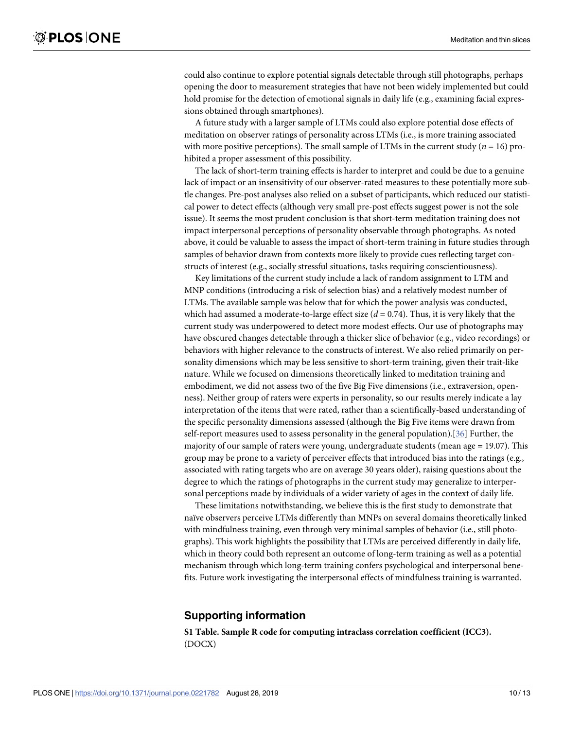<span id="page-9-0"></span>could also continue to explore potential signals detectable through still photographs, perhaps opening the door to measurement strategies that have not been widely implemented but could hold promise for the detection of emotional signals in daily life (e.g., examining facial expressions obtained through smartphones).

A future study with a larger sample of LTMs could also explore potential dose effects of meditation on observer ratings of personality across LTMs (i.e., is more training associated with more positive perceptions). The small sample of LTMs in the current study ( $n = 16$ ) prohibited a proper assessment of this possibility.

The lack of short-term training effects is harder to interpret and could be due to a genuine lack of impact or an insensitivity of our observer-rated measures to these potentially more subtle changes. Pre-post analyses also relied on a subset of participants, which reduced our statistical power to detect effects (although very small pre-post effects suggest power is not the sole issue). It seems the most prudent conclusion is that short-term meditation training does not impact interpersonal perceptions of personality observable through photographs. As noted above, it could be valuable to assess the impact of short-term training in future studies through samples of behavior drawn from contexts more likely to provide cues reflecting target constructs of interest (e.g., socially stressful situations, tasks requiring conscientiousness).

Key limitations of the current study include a lack of random assignment to LTM and MNP conditions (introducing a risk of selection bias) and a relatively modest number of LTMs. The available sample was below that for which the power analysis was conducted, which had assumed a moderate-to-large effect size  $(d = 0.74)$ . Thus, it is very likely that the current study was underpowered to detect more modest effects. Our use of photographs may have obscured changes detectable through a thicker slice of behavior (e.g., video recordings) or behaviors with higher relevance to the constructs of interest. We also relied primarily on personality dimensions which may be less sensitive to short-term training, given their trait-like nature. While we focused on dimensions theoretically linked to meditation training and embodiment, we did not assess two of the five Big Five dimensions (i.e., extraversion, openness). Neither group of raters were experts in personality, so our results merely indicate a lay interpretation of the items that were rated, rather than a scientifically-based understanding of the specific personality dimensions assessed (although the Big Five items were drawn from self-report measures used to assess personality in the general population).[[36](#page-12-0)] Further, the majority of our sample of raters were young, undergraduate students (mean age = 19.07). This group may be prone to a variety of perceiver effects that introduced bias into the ratings (e.g., associated with rating targets who are on average 30 years older), raising questions about the degree to which the ratings of photographs in the current study may generalize to interpersonal perceptions made by individuals of a wider variety of ages in the context of daily life.

These limitations notwithstanding, we believe this is the first study to demonstrate that naïve observers perceive LTMs differently than MNPs on several domains theoretically linked with mindfulness training, even through very minimal samples of behavior (i.e., still photographs). This work highlights the possibility that LTMs are perceived differently in daily life, which in theory could both represent an outcome of long-term training as well as a potential mechanism through which long-term training confers psychological and interpersonal benefits. Future work investigating the interpersonal effects of mindfulness training is warranted.

# **Supporting information**

**S1 [Table.](http://www.plosone.org/article/fetchSingleRepresentation.action?uri=info:doi/10.1371/journal.pone.0221782.s001) Sample R code for computing intraclass correlation coefficient (ICC3).** (DOCX)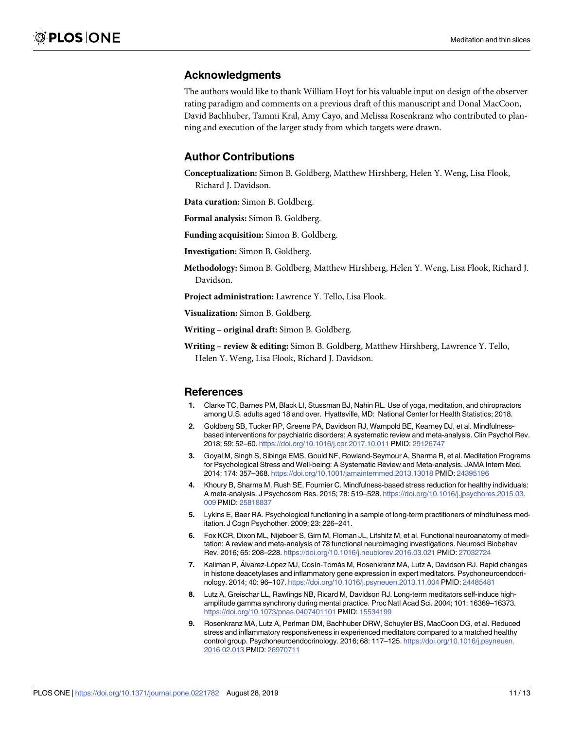# <span id="page-10-0"></span>**Acknowledgments**

The authors would like to thank William Hoyt for his valuable input on design of the observer rating paradigm and comments on a previous draft of this manuscript and Donal MacCoon, David Bachhuber, Tammi Kral, Amy Cayo, and Melissa Rosenkranz who contributed to planning and execution of the larger study from which targets were drawn.

# **Author Contributions**

**Conceptualization:** Simon B. Goldberg, Matthew Hirshberg, Helen Y. Weng, Lisa Flook, Richard J. Davidson.

**Data curation:** Simon B. Goldberg.

**Formal analysis:** Simon B. Goldberg.

**Funding acquisition:** Simon B. Goldberg.

**Investigation:** Simon B. Goldberg.

**Methodology:** Simon B. Goldberg, Matthew Hirshberg, Helen Y. Weng, Lisa Flook, Richard J. Davidson.

**Project administration:** Lawrence Y. Tello, Lisa Flook.

**Visualization:** Simon B. Goldberg.

**Writing – original draft:** Simon B. Goldberg.

**Writing – review & editing:** Simon B. Goldberg, Matthew Hirshberg, Lawrence Y. Tello, Helen Y. Weng, Lisa Flook, Richard J. Davidson.

#### **References**

- **[1](#page-1-0).** Clarke TC, Barnes PM, Black LI, Stussman BJ, Nahin RL. Use of yoga, meditation, and chiropractors among U.S. adults aged 18 and over. Hyattsville, MD: National Center for Health Statistics; 2018.
- **[2](#page-1-0).** Goldberg SB, Tucker RP, Greene PA, Davidson RJ, Wampold BE, Kearney DJ, et al. Mindfulnessbased interventions for psychiatric disorders: A systematic review and meta-analysis. Clin Psychol Rev. 2018; 59: 52–60. <https://doi.org/10.1016/j.cpr.2017.10.011> PMID: [29126747](http://www.ncbi.nlm.nih.gov/pubmed/29126747)
- **[3](#page-1-0).** Goyal M, Singh S, Sibinga EMS, Gould NF, Rowland-Seymour A, Sharma R, et al. Meditation Programs for Psychological Stress and Well-being: A Systematic Review and Meta-analysis. JAMA Intern Med. 2014; 174: 357–368. <https://doi.org/10.1001/jamainternmed.2013.13018> PMID: [24395196](http://www.ncbi.nlm.nih.gov/pubmed/24395196)
- **[4](#page-1-0).** Khoury B, Sharma M, Rush SE, Fournier C. Mindfulness-based stress reduction for healthy individuals: A meta-analysis. J Psychosom Res. 2015; 78: 519–528. [https://doi.org/10.1016/j.jpsychores.2015.03.](https://doi.org/10.1016/j.jpsychores.2015.03.009) [009](https://doi.org/10.1016/j.jpsychores.2015.03.009) PMID: [25818837](http://www.ncbi.nlm.nih.gov/pubmed/25818837)
- **[5](#page-1-0).** Lykins E, Baer RA. Psychological functioning in a sample of long-term practitioners of mindfulness meditation. J Cogn Psychother. 2009; 23: 226–241.
- **[6](#page-1-0).** Fox KCR, Dixon ML, Nijeboer S, Girn M, Floman JL, Lifshitz M, et al. Functional neuroanatomy of meditation: A review and meta-analysis of 78 functional neuroimaging investigations. Neurosci Biobehav Rev. 2016; 65: 208–228. <https://doi.org/10.1016/j.neubiorev.2016.03.021> PMID: [27032724](http://www.ncbi.nlm.nih.gov/pubmed/27032724)
- **7.** Kaliman P, Álvarez-López MJ, Cosín-Tomás M, Rosenkranz MA, Lutz A, Davidson RJ. Rapid changes in histone deacetylases and inflammatory gene expression in expert meditators. Psychoneuroendocrinology. 2014; 40: 96–107. <https://doi.org/10.1016/j.psyneuen.2013.11.004> PMID: [24485481](http://www.ncbi.nlm.nih.gov/pubmed/24485481)
- **8.** Lutz A, Greischar LL, Rawlings NB, Ricard M, Davidson RJ. Long-term meditators self-induce highamplitude gamma synchrony during mental practice. Proc Natl Acad Sci. 2004; 101: 16369–16373. <https://doi.org/10.1073/pnas.0407401101> PMID: [15534199](http://www.ncbi.nlm.nih.gov/pubmed/15534199)
- **[9](#page-1-0).** Rosenkranz MA, Lutz A, Perlman DM, Bachhuber DRW, Schuyler BS, MacCoon DG, et al. Reduced stress and inflammatory responsiveness in experienced meditators compared to a matched healthy control group. Psychoneuroendocrinology. 2016; 68: 117–125. [https://doi.org/10.1016/j.psyneuen.](https://doi.org/10.1016/j.psyneuen.2016.02.013) [2016.02.013](https://doi.org/10.1016/j.psyneuen.2016.02.013) PMID: [26970711](http://www.ncbi.nlm.nih.gov/pubmed/26970711)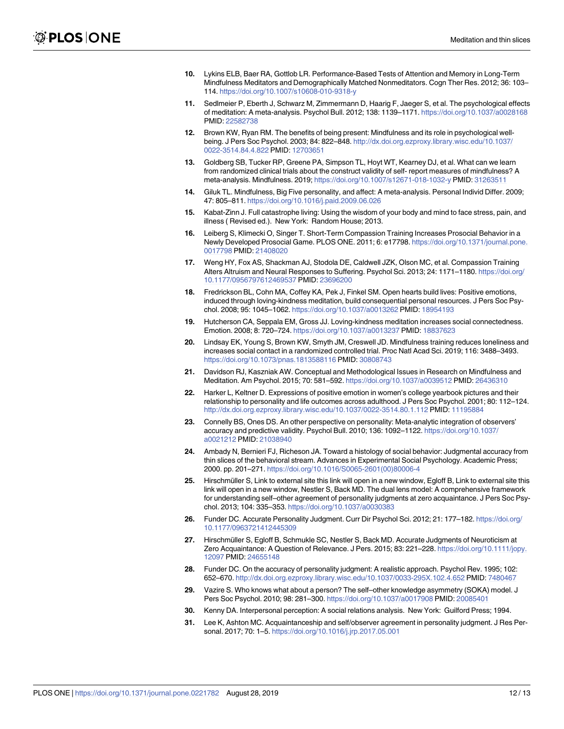- <span id="page-11-0"></span>**[10](#page-1-0).** Lykins ELB, Baer RA, Gottlob LR. Performance-Based Tests of Attention and Memory in Long-Term Mindfulness Meditators and Demographically Matched Nonmeditators. Cogn Ther Res. 2012; 36: 103– 114. <https://doi.org/10.1007/s10608-010-9318-y>
- **[11](#page-1-0).** Sedlmeier P, Eberth J, Schwarz M, Zimmermann D, Haarig F, Jaeger S, et al. The psychological effects of meditation: A meta-analysis. Psychol Bull. 2012; 138: 1139–1171. <https://doi.org/10.1037/a0028168> PMID: [22582738](http://www.ncbi.nlm.nih.gov/pubmed/22582738)
- **[12](#page-1-0).** Brown KW, Ryan RM. The benefits of being present: Mindfulness and its role in psychological wellbeing. J Pers Soc Psychol. 2003; 84: 822–848. [http://dx.doi.org.ezproxy.library.wisc.edu/10.1037/](http://dx.doi.org.ezproxy.library.wisc.edu/10.1037/0022-3514.84.4.822) [0022-3514.84.4.822](http://dx.doi.org.ezproxy.library.wisc.edu/10.1037/0022-3514.84.4.822) PMID: [12703651](http://www.ncbi.nlm.nih.gov/pubmed/12703651)
- **[13](#page-1-0).** Goldberg SB, Tucker RP, Greene PA, Simpson TL, Hoyt WT, Kearney DJ, et al. What can we learn from randomized clinical trials about the construct validity of self- report measures of mindfulness? A meta-analysis. Mindfulness. 2019; <https://doi.org/10.1007/s12671-018-1032-y> PMID: [31263511](http://www.ncbi.nlm.nih.gov/pubmed/31263511)
- **[14](#page-1-0).** Giluk TL. Mindfulness, Big Five personality, and affect: A meta-analysis. Personal Individ Differ. 2009; 47: 805–811. <https://doi.org/10.1016/j.paid.2009.06.026>
- **[15](#page-1-0).** Kabat-Zinn J. Full catastrophe living: Using the wisdom of your body and mind to face stress, pain, and illness ( Revised ed.). New York: Random House; 2013.
- **[16](#page-1-0).** Leiberg S, Klimecki O, Singer T. Short-Term Compassion Training Increases Prosocial Behavior in a Newly Developed Prosocial Game. PLOS ONE. 2011; 6: e17798. [https://doi.org/10.1371/journal.pone.](https://doi.org/10.1371/journal.pone.0017798) [0017798](https://doi.org/10.1371/journal.pone.0017798) PMID: [21408020](http://www.ncbi.nlm.nih.gov/pubmed/21408020)
- **17.** Weng HY, Fox AS, Shackman AJ, Stodola DE, Caldwell JZK, Olson MC, et al. Compassion Training Alters Altruism and Neural Responses to Suffering. Psychol Sci. 2013; 24: 1171–1180. [https://doi.org/](https://doi.org/10.1177/0956797612469537) [10.1177/0956797612469537](https://doi.org/10.1177/0956797612469537) PMID: [23696200](http://www.ncbi.nlm.nih.gov/pubmed/23696200)
- **18.** Fredrickson BL, Cohn MA, Coffey KA, Pek J, Finkel SM. Open hearts build lives: Positive emotions, induced through loving-kindness meditation, build consequential personal resources. J Pers Soc Psychol. 2008; 95: 1045–1062. <https://doi.org/10.1037/a0013262> PMID: [18954193](http://www.ncbi.nlm.nih.gov/pubmed/18954193)
- **19.** Hutcherson CA, Seppala EM, Gross JJ. Loving-kindness meditation increases social connectedness. Emotion. 2008; 8: 720–724. <https://doi.org/10.1037/a0013237> PMID: [18837623](http://www.ncbi.nlm.nih.gov/pubmed/18837623)
- **[20](#page-1-0).** Lindsay EK, Young S, Brown KW, Smyth JM, Creswell JD. Mindfulness training reduces loneliness and increases social contact in a randomized controlled trial. Proc Natl Acad Sci. 2019; 116: 3488–3493. <https://doi.org/10.1073/pnas.1813588116> PMID: [30808743](http://www.ncbi.nlm.nih.gov/pubmed/30808743)
- **[21](#page-1-0).** Davidson RJ, Kaszniak AW. Conceptual and Methodological Issues in Research on Mindfulness and Meditation. Am Psychol. 2015; 70: 581–592. <https://doi.org/10.1037/a0039512> PMID: [26436310](http://www.ncbi.nlm.nih.gov/pubmed/26436310)
- **[22](#page-1-0).** Harker L, Keltner D. Expressions of positive emotion in women's college yearbook pictures and their relationship to personality and life outcomes across adulthood. J Pers Soc Psychol. 2001; 80: 112–124. <http://dx.doi.org.ezproxy.library.wisc.edu/10.1037/0022-3514.80.1.112> PMID: [11195884](http://www.ncbi.nlm.nih.gov/pubmed/11195884)
- **[23](#page-1-0).** Connelly BS, Ones DS. An other perspective on personality: Meta-analytic integration of observers' accuracy and predictive validity. Psychol Bull. 2010; 136: 1092–1122. [https://doi.org/10.1037/](https://doi.org/10.1037/a0021212) [a0021212](https://doi.org/10.1037/a0021212) PMID: [21038940](http://www.ncbi.nlm.nih.gov/pubmed/21038940)
- **[24](#page-1-0).** Ambady N, Bernieri FJ, Richeson JA. Toward a histology of social behavior: Judgmental accuracy from thin slices of the behavioral stream. Advances in Experimental Social Psychology. Academic Press; 2000. pp. 201–271. [https://doi.org/10.1016/S0065-2601\(00\)80006-4](https://doi.org/10.1016/S0065-2601(00)80006-4)
- **[25](#page-2-0).** Hirschmüller S, Link to external site this link will open in a new window, Egloff B, Link to external site this link will open in a new window, Nestler S, Back MD. The dual lens model: A comprehensive framework for understanding self–other agreement of personality judgments at zero acquaintance. J Pers Soc Psychol. 2013; 104: 335–353. <https://doi.org/10.1037/a0030383>
- **[26](#page-2-0).** Funder DC. Accurate Personality Judgment. Curr Dir Psychol Sci. 2012; 21: 177–182. [https://doi.org/](https://doi.org/10.1177/0963721412445309) [10.1177/0963721412445309](https://doi.org/10.1177/0963721412445309)
- **[27](#page-2-0).** Hirschmüller S, Egloff B, Schmukle SC, Nestler S, Back MD. Accurate Judgments of Neuroticism at Zero Acquaintance: A Question of Relevance. J Pers. 2015; 83: 221–228. [https://doi.org/10.1111/jopy.](https://doi.org/10.1111/jopy.12097) [12097](https://doi.org/10.1111/jopy.12097) PMID: [24655148](http://www.ncbi.nlm.nih.gov/pubmed/24655148)
- **[28](#page-2-0).** Funder DC. On the accuracy of personality judgment: A realistic approach. Psychol Rev. 1995; 102: 652–670. <http://dx.doi.org.ezproxy.library.wisc.edu/10.1037/0033-295X.102.4.652> PMID: [7480467](http://www.ncbi.nlm.nih.gov/pubmed/7480467)
- **[29](#page-2-0).** Vazire S. Who knows what about a person? The self–other knowledge asymmetry (SOKA) model. J Pers Soc Psychol. 2010; 98: 281–300. <https://doi.org/10.1037/a0017908> PMID: [20085401](http://www.ncbi.nlm.nih.gov/pubmed/20085401)
- **[30](#page-2-0).** Kenny DA. Interpersonal perception: A social relations analysis. New York: Guilford Press; 1994.
- **[31](#page-2-0).** Lee K, Ashton MC. Acquaintanceship and self/observer agreement in personality judgment. J Res Personal. 2017; 70: 1–5. <https://doi.org/10.1016/j.jrp.2017.05.001>